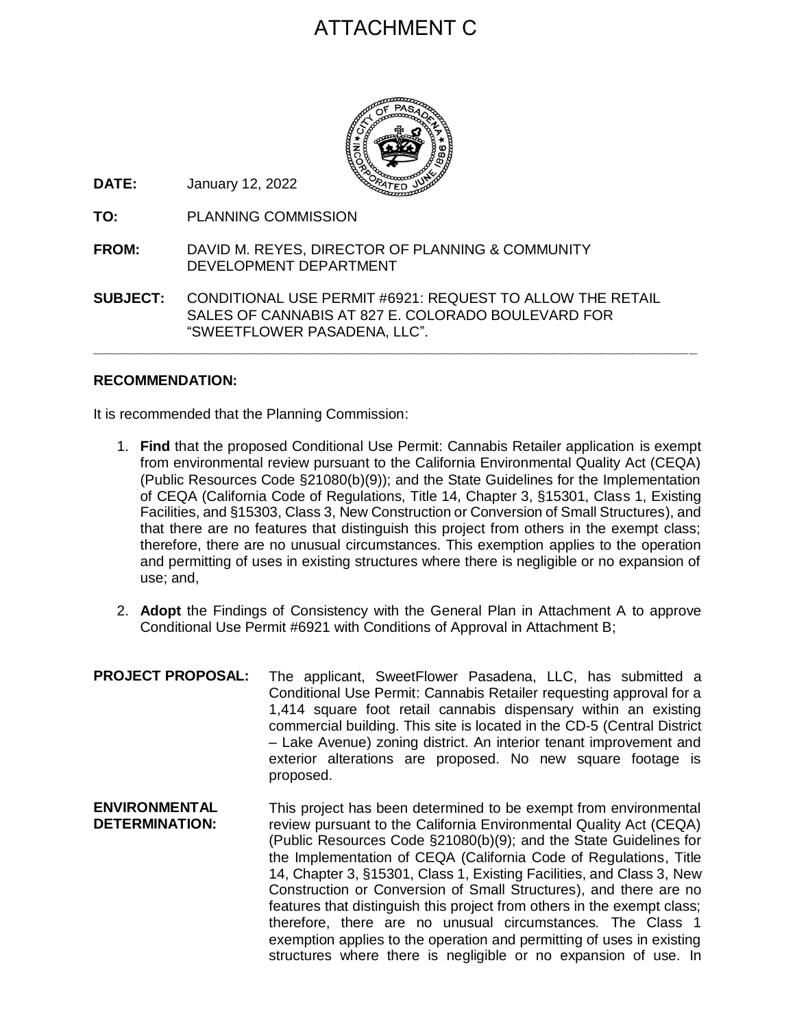# ATTACHMENT C



**DATE:** January 12, 2022

- **TO:** PLANNING COMMISSION
- **FROM:** DAVID M. REYES, DIRECTOR OF PLANNING & COMMUNITY DEVELOPMENT DEPARTMENT
- **SUBJECT:** CONDITIONAL USE PERMIT #6921: REQUEST TO ALLOW THE RETAIL SALES OF CANNABIS AT 827 E. COLORADO BOULEVARD FOR "SWEETFLOWER PASADENA, LLC".

**\_\_\_\_\_\_\_\_\_\_\_\_\_\_\_\_\_\_\_\_\_\_\_\_\_\_\_\_\_\_\_\_\_\_\_\_\_\_\_\_\_\_\_\_\_\_\_\_\_\_\_\_\_\_\_\_\_\_\_\_\_\_\_\_\_\_\_\_\_\_\_\_\_\_\_\_**

# **RECOMMENDATION:**

It is recommended that the Planning Commission:

- 1. **Find** that the proposed Conditional Use Permit: Cannabis Retailer application is exempt from environmental review pursuant to the California Environmental Quality Act (CEQA) (Public Resources Code §21080(b)(9)); and the State Guidelines for the Implementation of CEQA (California Code of Regulations, Title 14, Chapter 3, §15301, Class 1, Existing Facilities, and §15303, Class 3, New Construction or Conversion of Small Structures), and that there are no features that distinguish this project from others in the exempt class; therefore, there are no unusual circumstances. This exemption applies to the operation and permitting of uses in existing structures where there is negligible or no expansion of use; and,
- 2. **Adopt** the Findings of Consistency with the General Plan in Attachment A to approve Conditional Use Permit #6921 with Conditions of Approval in Attachment B;
- **PROJECT PROPOSAL:** The applicant, SweetFlower Pasadena, LLC, has submitted a Conditional Use Permit: Cannabis Retailer requesting approval for a 1,414 square foot retail cannabis dispensary within an existing commercial building. This site is located in the CD-5 (Central District – Lake Avenue) zoning district. An interior tenant improvement and exterior alterations are proposed. No new square footage is proposed.
- **ENVIRONMENTAL DETERMINATION:** This project has been determined to be exempt from environmental review pursuant to the California Environmental Quality Act (CEQA) (Public Resources Code §21080(b)(9); and the State Guidelines for the Implementation of CEQA (California Code of Regulations, Title 14, Chapter 3, §15301, Class 1, Existing Facilities, and Class 3, New Construction or Conversion of Small Structures), and there are no features that distinguish this project from others in the exempt class; therefore, there are no unusual circumstances*.* The Class 1 exemption applies to the operation and permitting of uses in existing structures where there is negligible or no expansion of use. In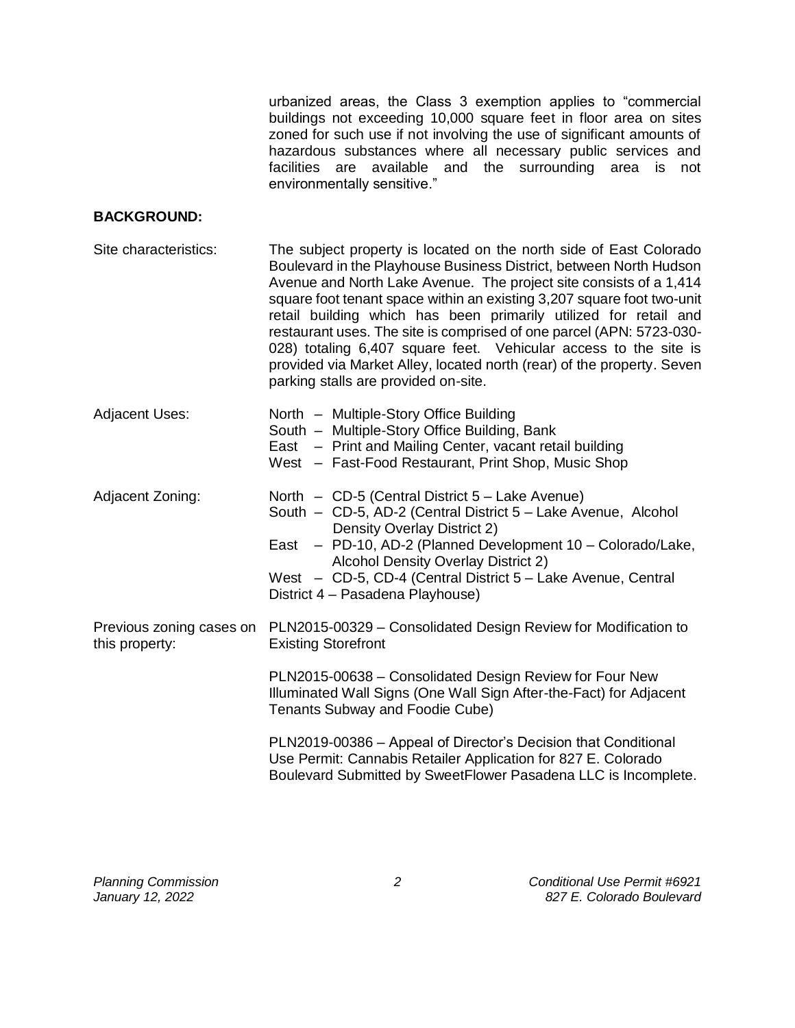urbanized areas, the Class 3 exemption applies to "commercial buildings not exceeding 10,000 square feet in floor area on sites zoned for such use if not involving the use of significant amounts of hazardous substances where all necessary public services and facilities are available and the surrounding area is not environmentally sensitive."

#### **BACKGROUND:**

| Site characteristics:                      | The subject property is located on the north side of East Colorado<br>Boulevard in the Playhouse Business District, between North Hudson<br>Avenue and North Lake Avenue. The project site consists of a 1,414<br>square foot tenant space within an existing 3,207 square foot two-unit<br>retail building which has been primarily utilized for retail and<br>restaurant uses. The site is comprised of one parcel (APN: 5723-030-<br>028) totaling 6,407 square feet. Vehicular access to the site is<br>provided via Market Alley, located north (rear) of the property. Seven<br>parking stalls are provided on-site. |
|--------------------------------------------|----------------------------------------------------------------------------------------------------------------------------------------------------------------------------------------------------------------------------------------------------------------------------------------------------------------------------------------------------------------------------------------------------------------------------------------------------------------------------------------------------------------------------------------------------------------------------------------------------------------------------|
| <b>Adjacent Uses:</b>                      | North - Multiple-Story Office Building<br>South - Multiple-Story Office Building, Bank<br>East – Print and Mailing Center, vacant retail building<br>West - Fast-Food Restaurant, Print Shop, Music Shop                                                                                                                                                                                                                                                                                                                                                                                                                   |
| Adjacent Zoning:                           | North - CD-5 (Central District 5 - Lake Avenue)<br>South - CD-5, AD-2 (Central District 5 - Lake Avenue, Alcohol<br>Density Overlay District 2)<br>East - PD-10, AD-2 (Planned Development 10 - Colorado/Lake,<br>Alcohol Density Overlay District 2)<br>West - CD-5, CD-4 (Central District 5 - Lake Avenue, Central<br>District 4 - Pasadena Playhouse)                                                                                                                                                                                                                                                                  |
| Previous zoning cases on<br>this property: | PLN2015-00329 - Consolidated Design Review for Modification to<br><b>Existing Storefront</b>                                                                                                                                                                                                                                                                                                                                                                                                                                                                                                                               |
|                                            | PLN2015-00638 - Consolidated Design Review for Four New<br>Illuminated Wall Signs (One Wall Sign After-the-Fact) for Adjacent<br>Tenants Subway and Foodie Cube)                                                                                                                                                                                                                                                                                                                                                                                                                                                           |
|                                            | PLN2019-00386 - Appeal of Director's Decision that Conditional<br>Use Permit: Cannabis Retailer Application for 827 E. Colorado<br>Boulevard Submitted by SweetFlower Pasadena LLC is Incomplete.                                                                                                                                                                                                                                                                                                                                                                                                                          |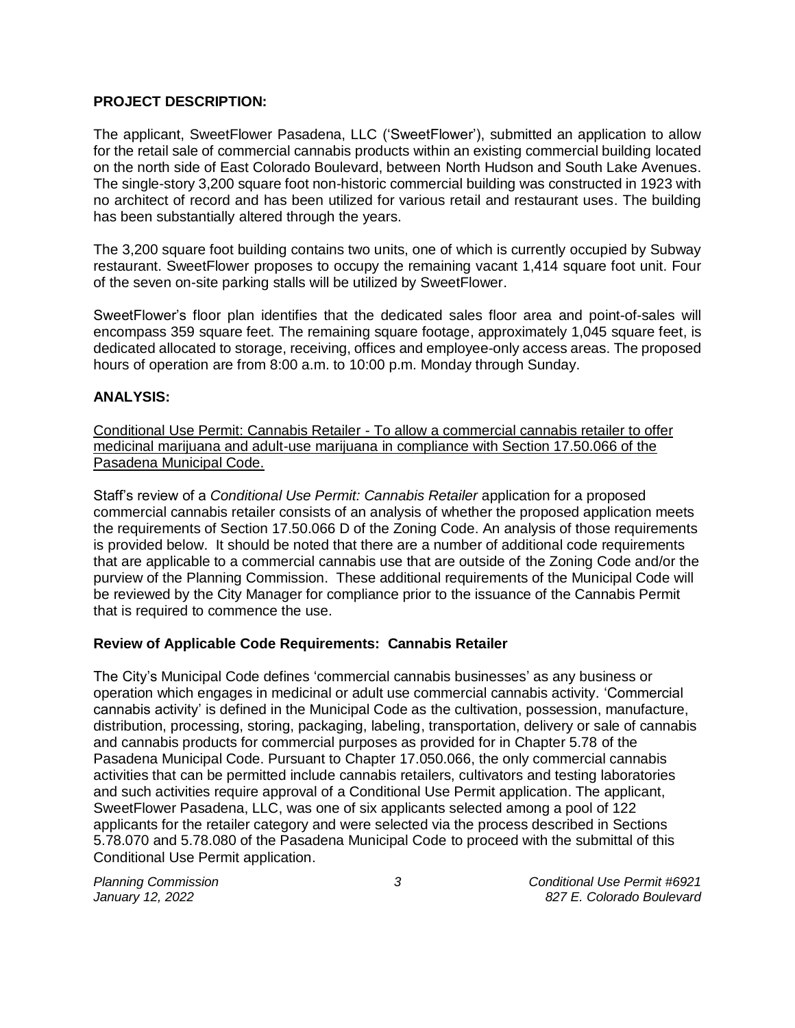# **PROJECT DESCRIPTION:**

The applicant, SweetFlower Pasadena, LLC ('SweetFlower'), submitted an application to allow for the retail sale of commercial cannabis products within an existing commercial building located on the north side of East Colorado Boulevard, between North Hudson and South Lake Avenues. The single-story 3,200 square foot non-historic commercial building was constructed in 1923 with no architect of record and has been utilized for various retail and restaurant uses. The building has been substantially altered through the years.

The 3,200 square foot building contains two units, one of which is currently occupied by Subway restaurant. SweetFlower proposes to occupy the remaining vacant 1,414 square foot unit. Four of the seven on-site parking stalls will be utilized by SweetFlower.

SweetFlower's floor plan identifies that the dedicated sales floor area and point-of-sales will encompass 359 square feet. The remaining square footage, approximately 1,045 square feet, is dedicated allocated to storage, receiving, offices and employee-only access areas. The proposed hours of operation are from 8:00 a.m. to 10:00 p.m. Monday through Sunday.

#### **ANALYSIS:**

Conditional Use Permit: Cannabis Retailer - To allow a commercial cannabis retailer to offer medicinal marijuana and adult-use marijuana in compliance with Section 17.50.066 of the Pasadena Municipal Code.

Staff's review of a *Conditional Use Permit: Cannabis Retailer* application for a proposed commercial cannabis retailer consists of an analysis of whether the proposed application meets the requirements of Section 17.50.066 D of the Zoning Code. An analysis of those requirements is provided below. It should be noted that there are a number of additional code requirements that are applicable to a commercial cannabis use that are outside of the Zoning Code and/or the purview of the Planning Commission. These additional requirements of the Municipal Code will be reviewed by the City Manager for compliance prior to the issuance of the Cannabis Permit that is required to commence the use.

#### **Review of Applicable Code Requirements: Cannabis Retailer**

The City's Municipal Code defines 'commercial cannabis businesses' as any business or operation which engages in medicinal or adult use commercial cannabis activity. 'Commercial cannabis activity' is defined in the Municipal Code as the cultivation, possession, manufacture, distribution, processing, storing, packaging, labeling, transportation, delivery or sale of cannabis and cannabis products for commercial purposes as provided for in Chapter 5.78 of the Pasadena Municipal Code. Pursuant to Chapter 17.050.066, the only commercial cannabis activities that can be permitted include cannabis retailers, cultivators and testing laboratories and such activities require approval of a Conditional Use Permit application. The applicant, SweetFlower Pasadena, LLC, was one of six applicants selected among a pool of 122 applicants for the retailer category and were selected via the process described in Sections 5.78.070 and 5.78.080 of the Pasadena Municipal Code to proceed with the submittal of this Conditional Use Permit application.

*Planning Commission 3 Conditional Use Permit #6921 January 12, 2022 827 E. Colorado Boulevard*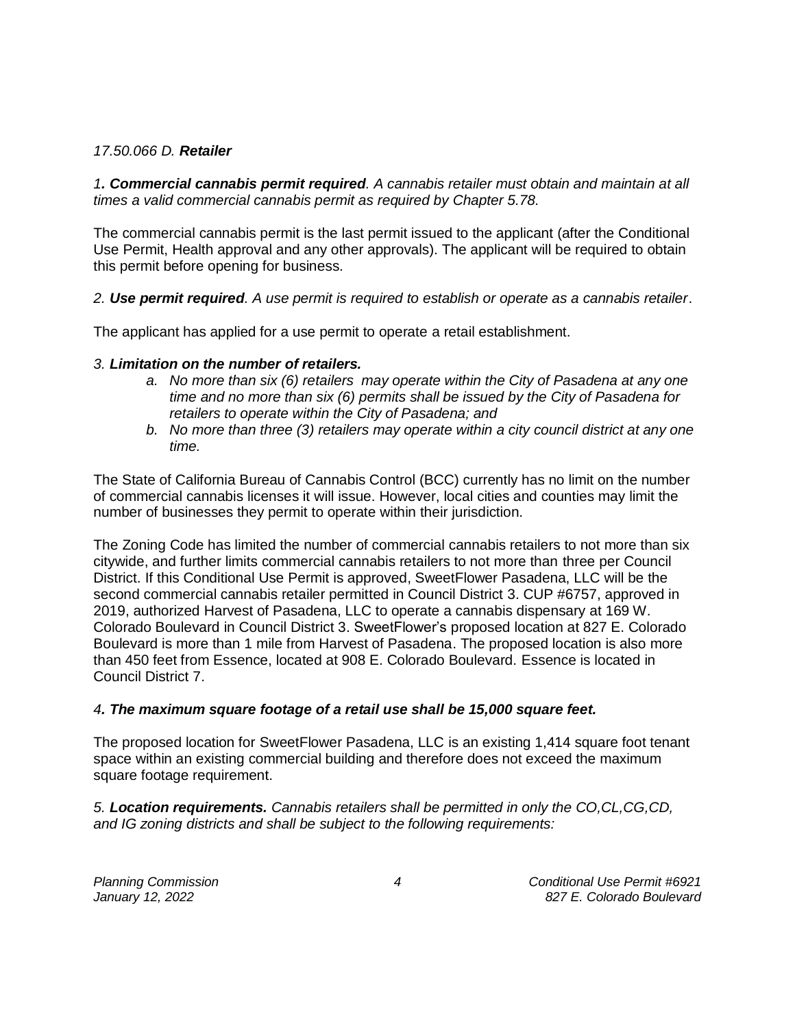## *17.50.066 D. Retailer*

*1. Commercial cannabis permit required. A cannabis retailer must obtain and maintain at all times a valid commercial cannabis permit as required by Chapter 5.78.* 

The commercial cannabis permit is the last permit issued to the applicant (after the Conditional Use Permit, Health approval and any other approvals). The applicant will be required to obtain this permit before opening for business.

*2. Use permit required. A use permit is required to establish or operate as a cannabis retailer*.

The applicant has applied for a use permit to operate a retail establishment.

#### *3. Limitation on the number of retailers.*

- *a. No more than six (6) retailers may operate within the City of Pasadena at any one time and no more than six (6) permits shall be issued by the City of Pasadena for retailers to operate within the City of Pasadena; and*
- *b. No more than three (3) retailers may operate within a city council district at any one time.*

The State of California Bureau of Cannabis Control (BCC) currently has no limit on the number of commercial cannabis licenses it will issue. However, local cities and counties may limit the number of businesses they permit to operate within their jurisdiction.

The Zoning Code has limited the number of commercial cannabis retailers to not more than six citywide, and further limits commercial cannabis retailers to not more than three per Council District. If this Conditional Use Permit is approved, SweetFlower Pasadena, LLC will be the second commercial cannabis retailer permitted in Council District 3. CUP #6757, approved in 2019, authorized Harvest of Pasadena, LLC to operate a cannabis dispensary at 169 W. Colorado Boulevard in Council District 3. SweetFlower's proposed location at 827 E. Colorado Boulevard is more than 1 mile from Harvest of Pasadena. The proposed location is also more than 450 feet from Essence, located at 908 E. Colorado Boulevard. Essence is located in Council District 7.

#### *4. The maximum square footage of a retail use shall be 15,000 square feet.*

The proposed location for SweetFlower Pasadena, LLC is an existing 1,414 square foot tenant space within an existing commercial building and therefore does not exceed the maximum square footage requirement.

*5. Location requirements. Cannabis retailers shall be permitted in only the CO,CL,CG,CD, and IG zoning districts and shall be subject to the following requirements:*

*Planning Commission 4 Conditional Use Permit #6921 January 12, 2022 827 E. Colorado Boulevard*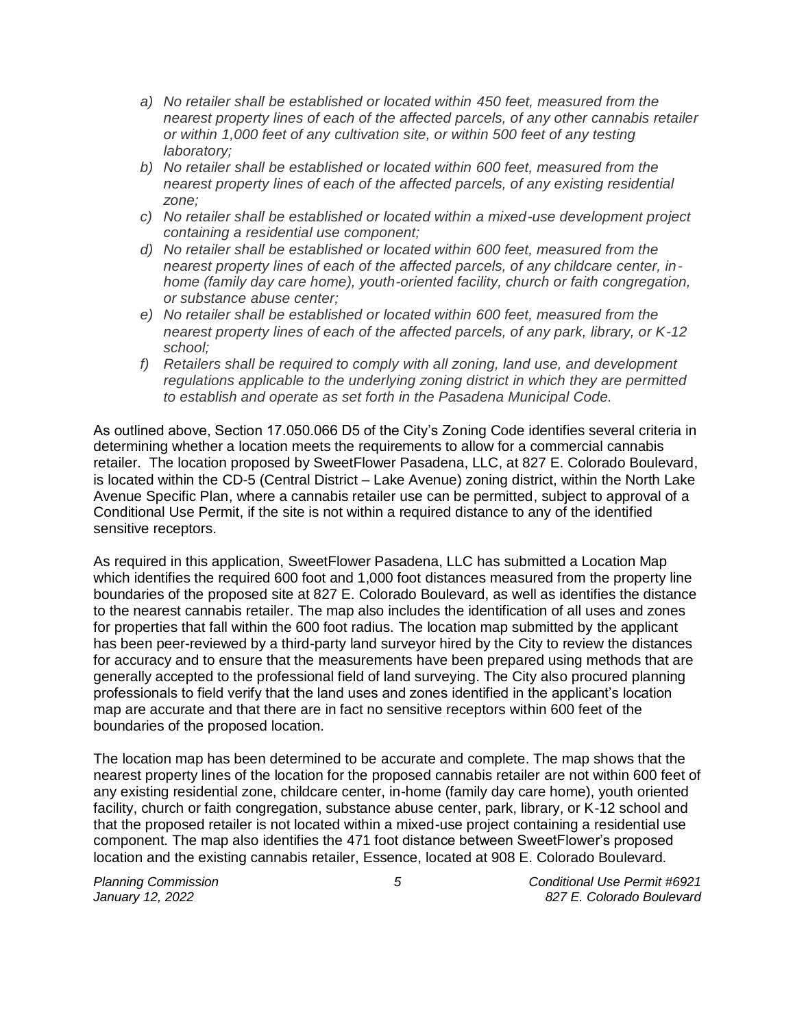- *a) No retailer shall be established or located within 450 feet, measured from the nearest property lines of each of the affected parcels, of any other cannabis retailer or within 1,000 feet of any cultivation site, or within 500 feet of any testing laboratory;*
- *b) No retailer shall be established or located within 600 feet, measured from the nearest property lines of each of the affected parcels, of any existing residential zone;*
- *c) No retailer shall be established or located within a mixed-use development project containing a residential use component;*
- *d) No retailer shall be established or located within 600 feet, measured from the nearest property lines of each of the affected parcels, of any childcare center, inhome (family day care home), youth-oriented facility, church or faith congregation, or substance abuse center;*
- *e) No retailer shall be established or located within 600 feet, measured from the nearest property lines of each of the affected parcels, of any park, library, or K-12 school;*
- *f) Retailers shall be required to comply with all zoning, land use, and development regulations applicable to the underlying zoning district in which they are permitted to establish and operate as set forth in the Pasadena Municipal Code.*

As outlined above, Section 17.050.066 D5 of the City's Zoning Code identifies several criteria in determining whether a location meets the requirements to allow for a commercial cannabis retailer. The location proposed by SweetFlower Pasadena, LLC, at 827 E. Colorado Boulevard, is located within the CD-5 (Central District – Lake Avenue) zoning district, within the North Lake Avenue Specific Plan, where a cannabis retailer use can be permitted, subject to approval of a Conditional Use Permit, if the site is not within a required distance to any of the identified sensitive receptors.

As required in this application, SweetFlower Pasadena, LLC has submitted a Location Map which identifies the required 600 foot and 1,000 foot distances measured from the property line boundaries of the proposed site at 827 E. Colorado Boulevard, as well as identifies the distance to the nearest cannabis retailer. The map also includes the identification of all uses and zones for properties that fall within the 600 foot radius. The location map submitted by the applicant has been peer-reviewed by a third-party land surveyor hired by the City to review the distances for accuracy and to ensure that the measurements have been prepared using methods that are generally accepted to the professional field of land surveying. The City also procured planning professionals to field verify that the land uses and zones identified in the applicant's location map are accurate and that there are in fact no sensitive receptors within 600 feet of the boundaries of the proposed location.

The location map has been determined to be accurate and complete. The map shows that the nearest property lines of the location for the proposed cannabis retailer are not within 600 feet of any existing residential zone, childcare center, in-home (family day care home), youth oriented facility, church or faith congregation, substance abuse center, park, library, or K-12 school and that the proposed retailer is not located within a mixed-use project containing a residential use component. The map also identifies the 471 foot distance between SweetFlower's proposed location and the existing cannabis retailer, Essence, located at 908 E. Colorado Boulevard.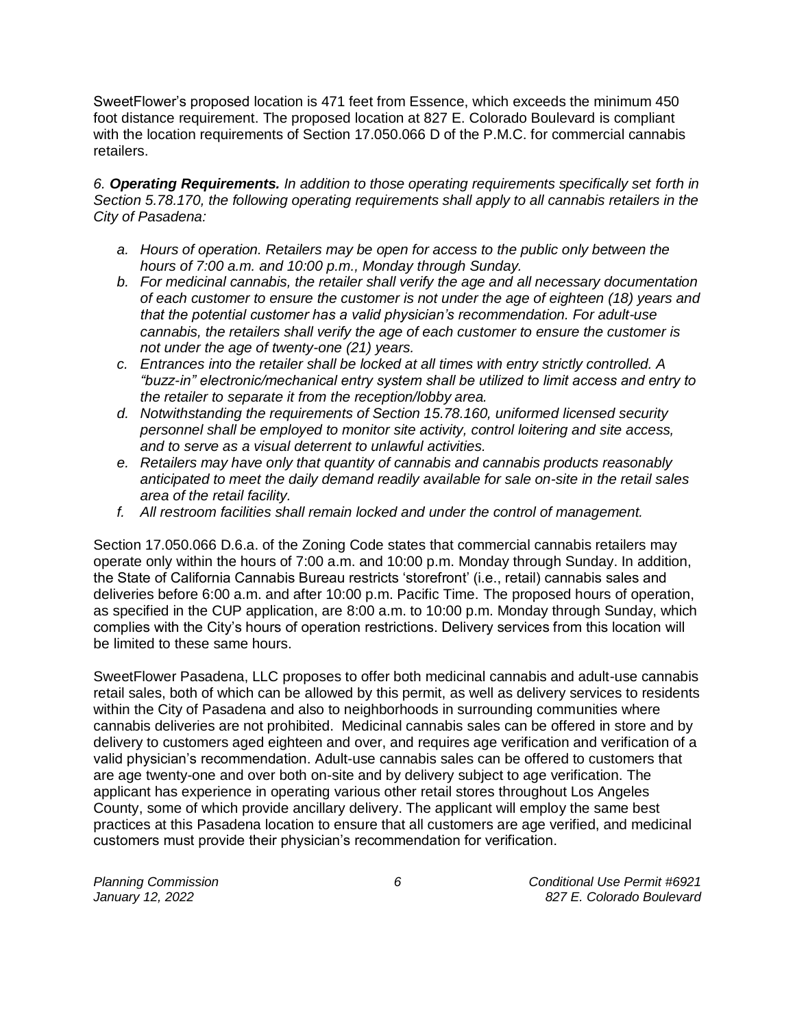SweetFlower's proposed location is 471 feet from Essence, which exceeds the minimum 450 foot distance requirement. The proposed location at 827 E. Colorado Boulevard is compliant with the location requirements of Section 17.050.066 D of the P.M.C. for commercial cannabis retailers.

*6. Operating Requirements. In addition to those operating requirements specifically set forth in Section 5.78.170, the following operating requirements shall apply to all cannabis retailers in the City of Pasadena:*

- *a. Hours of operation. Retailers may be open for access to the public only between the hours of 7:00 a.m. and 10:00 p.m., Monday through Sunday.*
- *b. For medicinal cannabis, the retailer shall verify the age and all necessary documentation of each customer to ensure the customer is not under the age of eighteen (18) years and that the potential customer has a valid physician's recommendation. For adult-use cannabis, the retailers shall verify the age of each customer to ensure the customer is not under the age of twenty-one (21) years.*
- *c. Entrances into the retailer shall be locked at all times with entry strictly controlled. A "buzz-in" electronic/mechanical entry system shall be utilized to limit access and entry to the retailer to separate it from the reception/lobby area.*
- *d. Notwithstanding the requirements of Section 15.78.160, uniformed licensed security personnel shall be employed to monitor site activity, control loitering and site access, and to serve as a visual deterrent to unlawful activities.*
- *e. Retailers may have only that quantity of cannabis and cannabis products reasonably anticipated to meet the daily demand readily available for sale on-site in the retail sales area of the retail facility.*
- *f. All restroom facilities shall remain locked and under the control of management.*

Section 17.050.066 D.6.a. of the Zoning Code states that commercial cannabis retailers may operate only within the hours of 7:00 a.m. and 10:00 p.m. Monday through Sunday. In addition, the State of California Cannabis Bureau restricts 'storefront' (i.e., retail) cannabis sales and deliveries before 6:00 a.m. and after 10:00 p.m. Pacific Time. The proposed hours of operation, as specified in the CUP application, are 8:00 a.m. to 10:00 p.m. Monday through Sunday, which complies with the City's hours of operation restrictions. Delivery services from this location will be limited to these same hours.

SweetFlower Pasadena, LLC proposes to offer both medicinal cannabis and adult-use cannabis retail sales, both of which can be allowed by this permit, as well as delivery services to residents within the City of Pasadena and also to neighborhoods in surrounding communities where cannabis deliveries are not prohibited. Medicinal cannabis sales can be offered in store and by delivery to customers aged eighteen and over, and requires age verification and verification of a valid physician's recommendation. Adult-use cannabis sales can be offered to customers that are age twenty-one and over both on-site and by delivery subject to age verification. The applicant has experience in operating various other retail stores throughout Los Angeles County, some of which provide ancillary delivery. The applicant will employ the same best practices at this Pasadena location to ensure that all customers are age verified, and medicinal customers must provide their physician's recommendation for verification.

*Planning Commission 6 Conditional Use Permit #6921 January 12, 2022 827 E. Colorado Boulevard*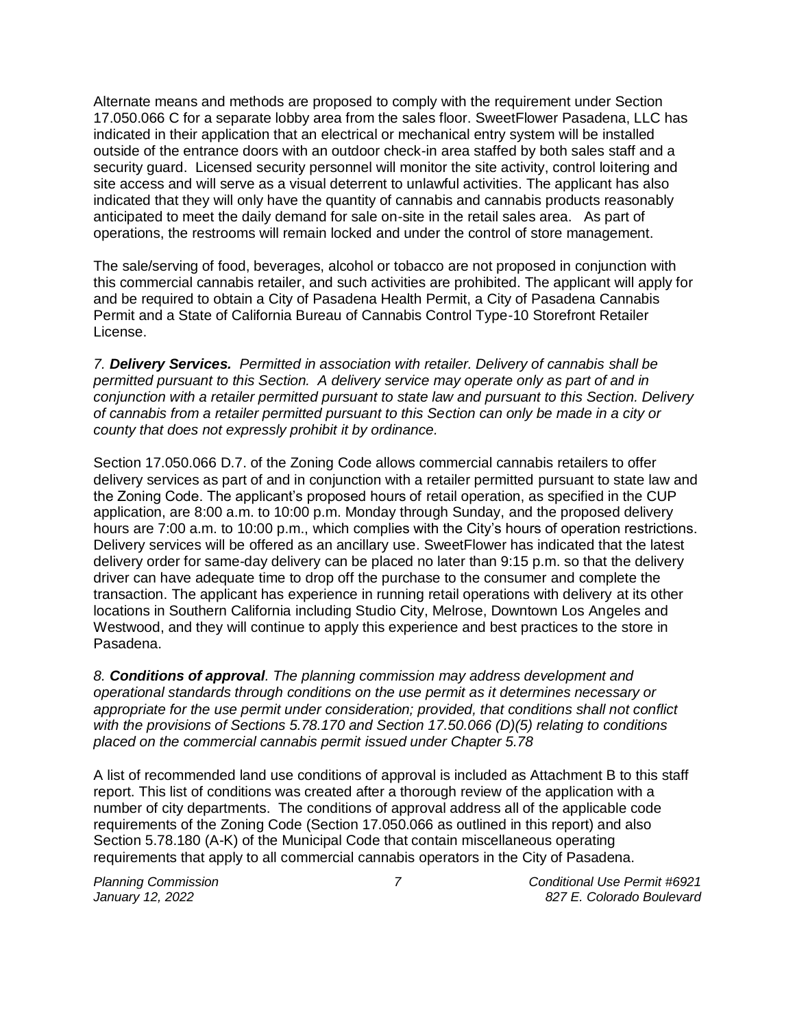Alternate means and methods are proposed to comply with the requirement under Section 17.050.066 C for a separate lobby area from the sales floor. SweetFlower Pasadena, LLC has indicated in their application that an electrical or mechanical entry system will be installed outside of the entrance doors with an outdoor check-in area staffed by both sales staff and a security guard. Licensed security personnel will monitor the site activity, control loitering and site access and will serve as a visual deterrent to unlawful activities. The applicant has also indicated that they will only have the quantity of cannabis and cannabis products reasonably anticipated to meet the daily demand for sale on-site in the retail sales area. As part of operations, the restrooms will remain locked and under the control of store management.

The sale/serving of food, beverages, alcohol or tobacco are not proposed in conjunction with this commercial cannabis retailer, and such activities are prohibited. The applicant will apply for and be required to obtain a City of Pasadena Health Permit, a City of Pasadena Cannabis Permit and a State of California Bureau of Cannabis Control Type-10 Storefront Retailer License.

*7. Delivery Services. Permitted in association with retailer. Delivery of cannabis shall be permitted pursuant to this Section. A delivery service may operate only as part of and in conjunction with a retailer permitted pursuant to state law and pursuant to this Section. Delivery of cannabis from a retailer permitted pursuant to this Section can only be made in a city or county that does not expressly prohibit it by ordinance.*

Section 17.050.066 D.7. of the Zoning Code allows commercial cannabis retailers to offer delivery services as part of and in conjunction with a retailer permitted pursuant to state law and the Zoning Code. The applicant's proposed hours of retail operation, as specified in the CUP application, are 8:00 a.m. to 10:00 p.m. Monday through Sunday, and the proposed delivery hours are 7:00 a.m. to 10:00 p.m., which complies with the City's hours of operation restrictions. Delivery services will be offered as an ancillary use. SweetFlower has indicated that the latest delivery order for same-day delivery can be placed no later than 9:15 p.m. so that the delivery driver can have adequate time to drop off the purchase to the consumer and complete the transaction. The applicant has experience in running retail operations with delivery at its other locations in Southern California including Studio City, Melrose, Downtown Los Angeles and Westwood, and they will continue to apply this experience and best practices to the store in Pasadena.

*8. Conditions of approval. The planning commission may address development and operational standards through conditions on the use permit as it determines necessary or appropriate for the use permit under consideration; provided, that conditions shall not conflict with the provisions of Sections 5.78.170 and Section 17.50.066 (D)(5) relating to conditions placed on the commercial cannabis permit issued under Chapter 5.78*

A list of recommended land use conditions of approval is included as Attachment B to this staff report. This list of conditions was created after a thorough review of the application with a number of city departments. The conditions of approval address all of the applicable code requirements of the Zoning Code (Section 17.050.066 as outlined in this report) and also Section 5.78.180 (A-K) of the Municipal Code that contain miscellaneous operating requirements that apply to all commercial cannabis operators in the City of Pasadena.

*Planning Commission 7 Conditional Use Permit #6921 January 12, 2022 827 E. Colorado Boulevard*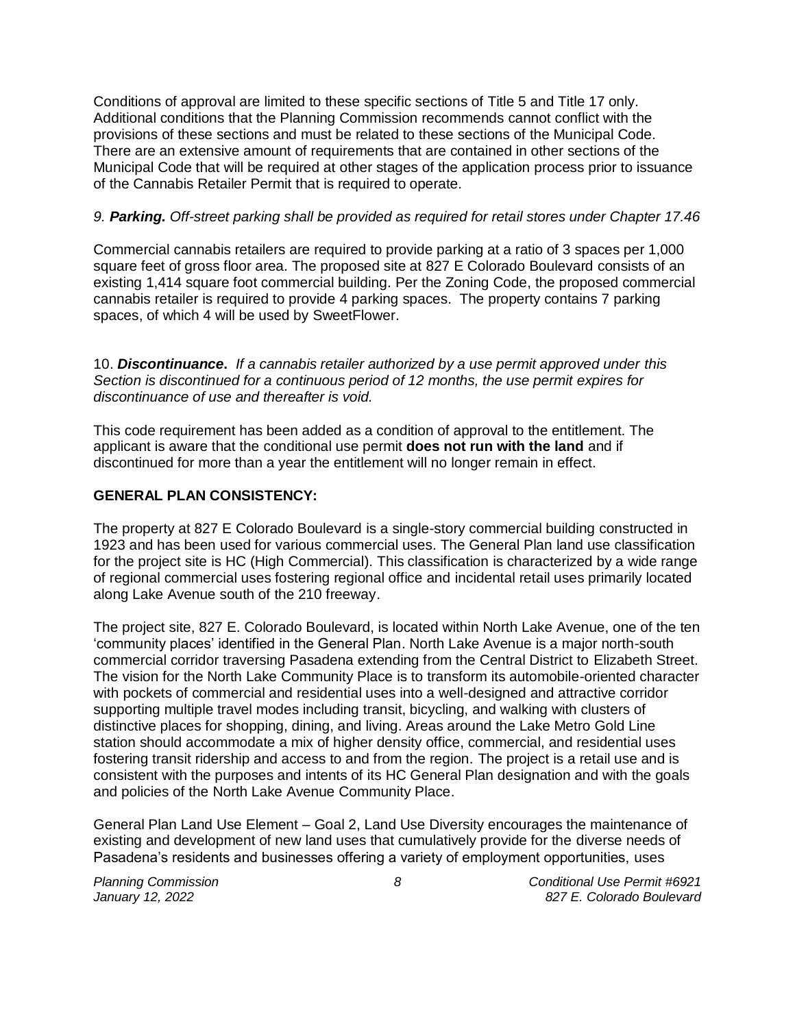Conditions of approval are limited to these specific sections of Title 5 and Title 17 only. Additional conditions that the Planning Commission recommends cannot conflict with the provisions of these sections and must be related to these sections of the Municipal Code. There are an extensive amount of requirements that are contained in other sections of the Municipal Code that will be required at other stages of the application process prior to issuance of the Cannabis Retailer Permit that is required to operate.

# *9. Parking. Off-street parking shall be provided as required for retail stores under Chapter 17.46*

Commercial cannabis retailers are required to provide parking at a ratio of 3 spaces per 1,000 square feet of gross floor area. The proposed site at 827 E Colorado Boulevard consists of an existing 1,414 square foot commercial building. Per the Zoning Code, the proposed commercial cannabis retailer is required to provide 4 parking spaces. The property contains 7 parking spaces, of which 4 will be used by SweetFlower.

10. *Discontinuance***.** *If a cannabis retailer authorized by a use permit approved under this Section is discontinued for a continuous period of 12 months, the use permit expires for discontinuance of use and thereafter is void.*

This code requirement has been added as a condition of approval to the entitlement. The applicant is aware that the conditional use permit **does not run with the land** and if discontinued for more than a year the entitlement will no longer remain in effect.

# **GENERAL PLAN CONSISTENCY:**

The property at 827 E Colorado Boulevard is a single-story commercial building constructed in 1923 and has been used for various commercial uses. The General Plan land use classification for the project site is HC (High Commercial). This classification is characterized by a wide range of regional commercial uses fostering regional office and incidental retail uses primarily located along Lake Avenue south of the 210 freeway.

The project site, 827 E. Colorado Boulevard, is located within North Lake Avenue, one of the ten 'community places' identified in the General Plan. North Lake Avenue is a major north-south commercial corridor traversing Pasadena extending from the Central District to Elizabeth Street. The vision for the North Lake Community Place is to transform its automobile-oriented character with pockets of commercial and residential uses into a well-designed and attractive corridor supporting multiple travel modes including transit, bicycling, and walking with clusters of distinctive places for shopping, dining, and living. Areas around the Lake Metro Gold Line station should accommodate a mix of higher density office, commercial, and residential uses fostering transit ridership and access to and from the region. The project is a retail use and is consistent with the purposes and intents of its HC General Plan designation and with the goals and policies of the North Lake Avenue Community Place.

General Plan Land Use Element – Goal 2, Land Use Diversity encourages the maintenance of existing and development of new land uses that cumulatively provide for the diverse needs of Pasadena's residents and businesses offering a variety of employment opportunities, uses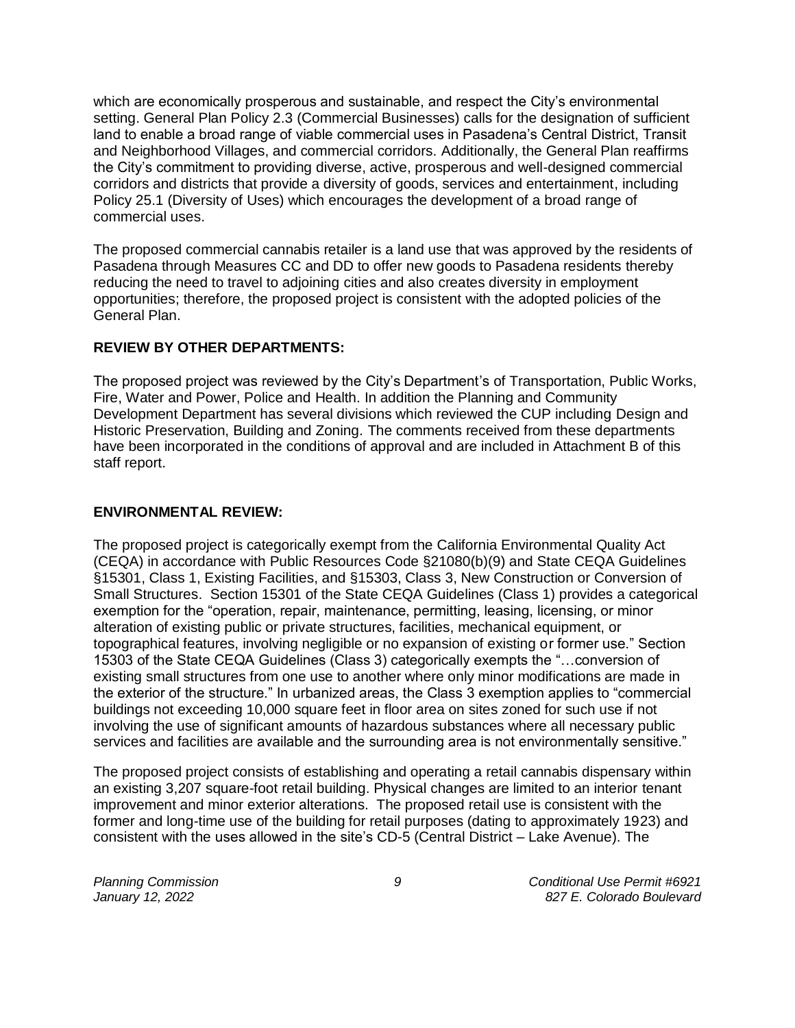which are economically prosperous and sustainable, and respect the City's environmental setting. General Plan Policy 2.3 (Commercial Businesses) calls for the designation of sufficient land to enable a broad range of viable commercial uses in Pasadena's Central District, Transit and Neighborhood Villages, and commercial corridors. Additionally, the General Plan reaffirms the City's commitment to providing diverse, active, prosperous and well-designed commercial corridors and districts that provide a diversity of goods, services and entertainment, including Policy 25.1 (Diversity of Uses) which encourages the development of a broad range of commercial uses.

The proposed commercial cannabis retailer is a land use that was approved by the residents of Pasadena through Measures CC and DD to offer new goods to Pasadena residents thereby reducing the need to travel to adjoining cities and also creates diversity in employment opportunities; therefore, the proposed project is consistent with the adopted policies of the General Plan.

#### **REVIEW BY OTHER DEPARTMENTS:**

The proposed project was reviewed by the City's Department's of Transportation, Public Works, Fire, Water and Power, Police and Health. In addition the Planning and Community Development Department has several divisions which reviewed the CUP including Design and Historic Preservation, Building and Zoning. The comments received from these departments have been incorporated in the conditions of approval and are included in Attachment B of this staff report.

## **ENVIRONMENTAL REVIEW:**

The proposed project is categorically exempt from the California Environmental Quality Act (CEQA) in accordance with Public Resources Code §21080(b)(9) and State CEQA Guidelines §15301, Class 1, Existing Facilities, and §15303, Class 3, New Construction or Conversion of Small Structures. Section 15301 of the State CEQA Guidelines (Class 1) provides a categorical exemption for the "operation, repair, maintenance, permitting, leasing, licensing, or minor alteration of existing public or private structures, facilities, mechanical equipment, or topographical features, involving negligible or no expansion of existing or former use." Section 15303 of the State CEQA Guidelines (Class 3) categorically exempts the "…conversion of existing small structures from one use to another where only minor modifications are made in the exterior of the structure." In urbanized areas, the Class 3 exemption applies to "commercial buildings not exceeding 10,000 square feet in floor area on sites zoned for such use if not involving the use of significant amounts of hazardous substances where all necessary public services and facilities are available and the surrounding area is not environmentally sensitive."

The proposed project consists of establishing and operating a retail cannabis dispensary within an existing 3,207 square-foot retail building. Physical changes are limited to an interior tenant improvement and minor exterior alterations. The proposed retail use is consistent with the former and long-time use of the building for retail purposes (dating to approximately 1923) and consistent with the uses allowed in the site's CD-5 (Central District – Lake Avenue). The

*Planning Commission 9 Conditional Use Permit #6921 January 12, 2022 827 E. Colorado Boulevard*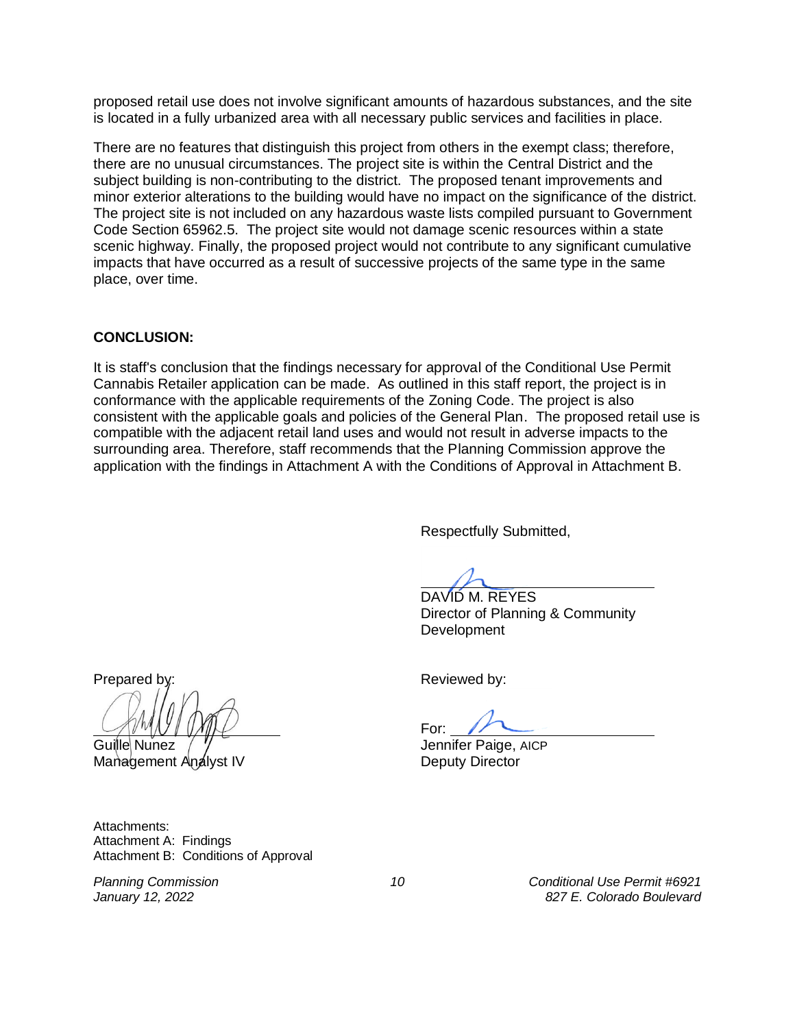proposed retail use does not involve significant amounts of hazardous substances, and the site is located in a fully urbanized area with all necessary public services and facilities in place.

There are no features that distinguish this project from others in the exempt class; therefore, there are no unusual circumstances. The project site is within the Central District and the subject building is non-contributing to the district. The proposed tenant improvements and minor exterior alterations to the building would have no impact on the significance of the district. The project site is not included on any hazardous waste lists compiled pursuant to Government Code Section 65962.5. The project site would not damage scenic resources within a state scenic highway. Finally, the proposed project would not contribute to any significant cumulative impacts that have occurred as a result of successive projects of the same type in the same place, over time.

#### **CONCLUSION:**

It is staff's conclusion that the findings necessary for approval of the Conditional Use Permit Cannabis Retailer application can be made. As outlined in this staff report, the project is in conformance with the applicable requirements of the Zoning Code. The project is also consistent with the applicable goals and policies of the General Plan. The proposed retail use is compatible with the adjacent retail land uses and would not result in adverse impacts to the surrounding area. Therefore, staff recommends that the Planning Commission approve the application with the findings in Attachment A with the Conditions of Approval in Attachment B.

Respectfully Submitted,

DAVID M. REYES Director of Planning & Community **Development** 

Prepared by: Prepared by: Reviewed by:

Guille Nunez /  $\frac{y}{y}$  Communities Community Sensitive AICP Management Analyst IV Deputy Director

Attachments: Attachment A: Findings Attachment B: Conditions of Approval

For:

*Planning Commission 10 Conditional Use Permit #6921 January 12, 2022 827 E. Colorado Boulevard*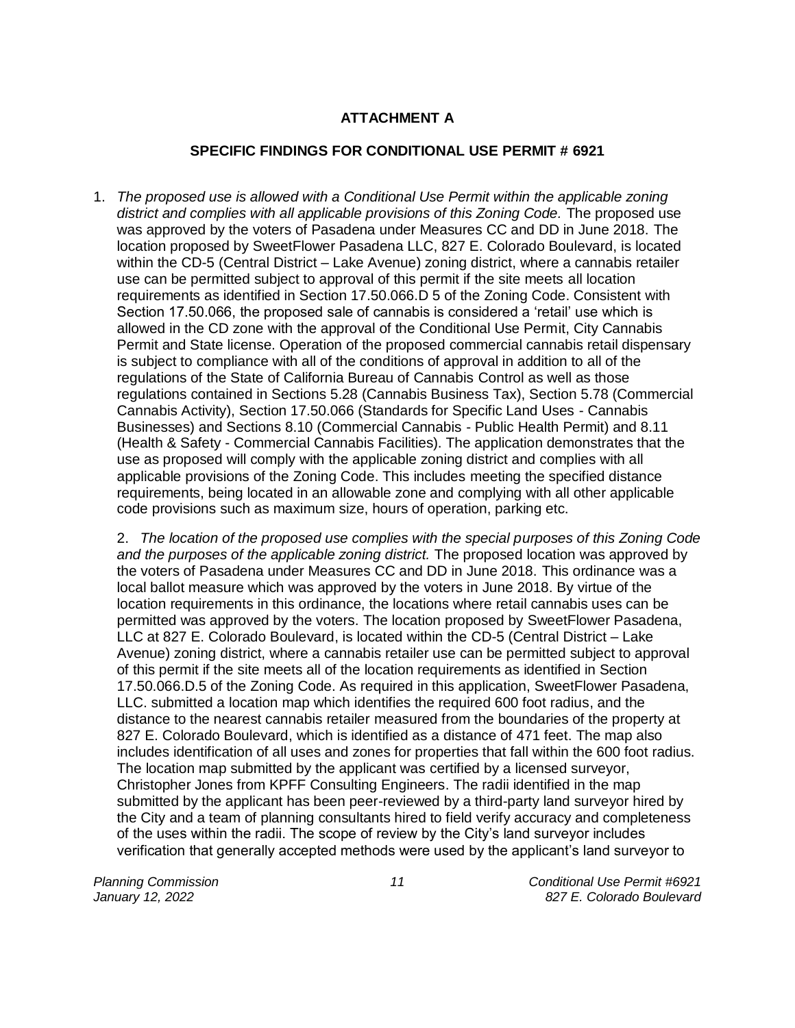# **ATTACHMENT A**

## **SPECIFIC FINDINGS FOR CONDITIONAL USE PERMIT # 6921**

1. *The proposed use is allowed with a Conditional Use Permit within the applicable zoning*  district and complies with all applicable provisions of this Zoning Code. The proposed use was approved by the voters of Pasadena under Measures CC and DD in June 2018. The location proposed by SweetFlower Pasadena LLC, 827 E. Colorado Boulevard, is located within the CD-5 (Central District – Lake Avenue) zoning district, where a cannabis retailer use can be permitted subject to approval of this permit if the site meets all location requirements as identified in Section 17.50.066.D 5 of the Zoning Code. Consistent with Section 17.50.066, the proposed sale of cannabis is considered a 'retail' use which is allowed in the CD zone with the approval of the Conditional Use Permit, City Cannabis Permit and State license. Operation of the proposed commercial cannabis retail dispensary is subject to compliance with all of the conditions of approval in addition to all of the regulations of the State of California Bureau of Cannabis Control as well as those regulations contained in Sections 5.28 (Cannabis Business Tax), Section 5.78 (Commercial Cannabis Activity), Section 17.50.066 (Standards for Specific Land Uses - Cannabis Businesses) and Sections 8.10 (Commercial Cannabis - Public Health Permit) and 8.11 (Health & Safety - Commercial Cannabis Facilities). The application demonstrates that the use as proposed will comply with the applicable zoning district and complies with all applicable provisions of the Zoning Code. This includes meeting the specified distance requirements, being located in an allowable zone and complying with all other applicable code provisions such as maximum size, hours of operation, parking etc.

2. *The location of the proposed use complies with the special purposes of this Zoning Code and the purposes of the applicable zoning district.* The proposed location was approved by the voters of Pasadena under Measures CC and DD in June 2018. This ordinance was a local ballot measure which was approved by the voters in June 2018. By virtue of the location requirements in this ordinance, the locations where retail cannabis uses can be permitted was approved by the voters. The location proposed by SweetFlower Pasadena, LLC at 827 E. Colorado Boulevard, is located within the CD-5 (Central District – Lake Avenue) zoning district, where a cannabis retailer use can be permitted subject to approval of this permit if the site meets all of the location requirements as identified in Section 17.50.066.D.5 of the Zoning Code. As required in this application, SweetFlower Pasadena, LLC. submitted a location map which identifies the required 600 foot radius, and the distance to the nearest cannabis retailer measured from the boundaries of the property at 827 E. Colorado Boulevard, which is identified as a distance of 471 feet. The map also includes identification of all uses and zones for properties that fall within the 600 foot radius. The location map submitted by the applicant was certified by a licensed surveyor, Christopher Jones from KPFF Consulting Engineers. The radii identified in the map submitted by the applicant has been peer-reviewed by a third-party land surveyor hired by the City and a team of planning consultants hired to field verify accuracy and completeness of the uses within the radii. The scope of review by the City's land surveyor includes verification that generally accepted methods were used by the applicant's land surveyor to

*Planning Commission 11 Conditional Use Permit #6921 January 12, 2022 827 E. Colorado Boulevard*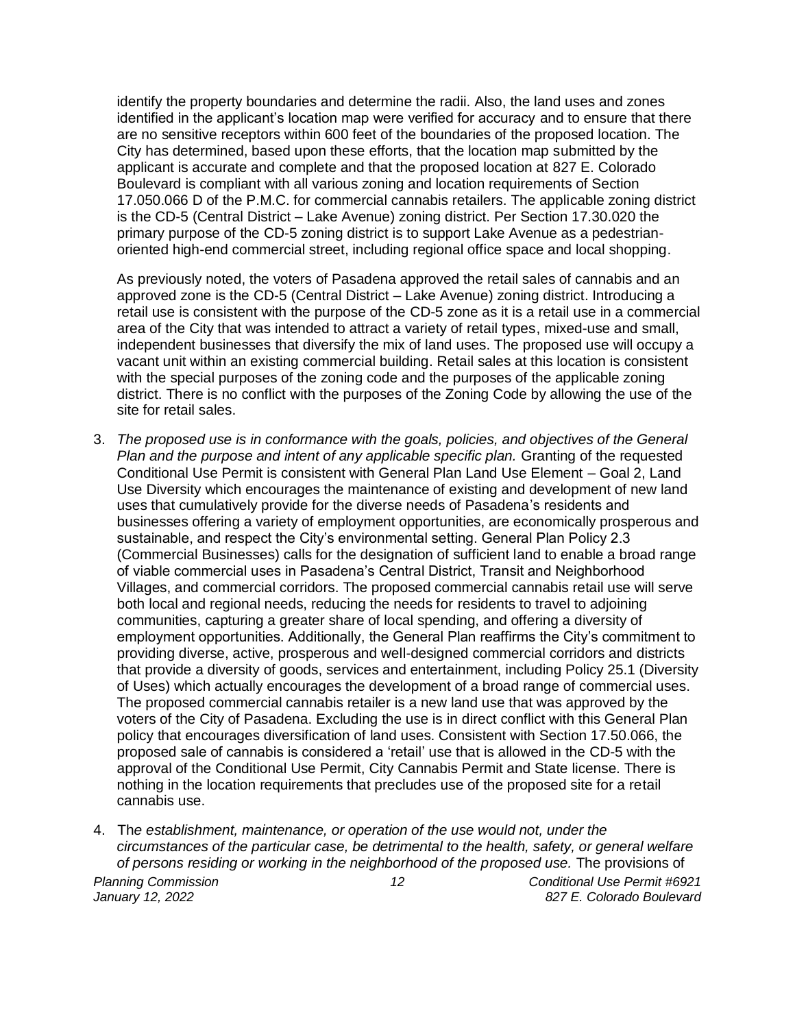identify the property boundaries and determine the radii. Also, the land uses and zones identified in the applicant's location map were verified for accuracy and to ensure that there are no sensitive receptors within 600 feet of the boundaries of the proposed location. The City has determined, based upon these efforts, that the location map submitted by the applicant is accurate and complete and that the proposed location at 827 E. Colorado Boulevard is compliant with all various zoning and location requirements of Section 17.050.066 D of the P.M.C. for commercial cannabis retailers. The applicable zoning district is the CD-5 (Central District – Lake Avenue) zoning district. Per Section 17.30.020 the primary purpose of the CD-5 zoning district is to support Lake Avenue as a pedestrianoriented high-end commercial street, including regional office space and local shopping.

As previously noted, the voters of Pasadena approved the retail sales of cannabis and an approved zone is the CD-5 (Central District – Lake Avenue) zoning district. Introducing a retail use is consistent with the purpose of the CD-5 zone as it is a retail use in a commercial area of the City that was intended to attract a variety of retail types, mixed-use and small, independent businesses that diversify the mix of land uses. The proposed use will occupy a vacant unit within an existing commercial building. Retail sales at this location is consistent with the special purposes of the zoning code and the purposes of the applicable zoning district. There is no conflict with the purposes of the Zoning Code by allowing the use of the site for retail sales.

- 3. *The proposed use is in conformance with the goals, policies, and objectives of the General Plan and the purpose and intent of any applicable specific plan.* Granting of the requested Conditional Use Permit is consistent with General Plan Land Use Element – Goal 2, Land Use Diversity which encourages the maintenance of existing and development of new land uses that cumulatively provide for the diverse needs of Pasadena's residents and businesses offering a variety of employment opportunities, are economically prosperous and sustainable, and respect the City's environmental setting. General Plan Policy 2.3 (Commercial Businesses) calls for the designation of sufficient land to enable a broad range of viable commercial uses in Pasadena's Central District, Transit and Neighborhood Villages, and commercial corridors. The proposed commercial cannabis retail use will serve both local and regional needs, reducing the needs for residents to travel to adjoining communities, capturing a greater share of local spending, and offering a diversity of employment opportunities. Additionally, the General Plan reaffirms the City's commitment to providing diverse, active, prosperous and well-designed commercial corridors and districts that provide a diversity of goods, services and entertainment, including Policy 25.1 (Diversity of Uses) which actually encourages the development of a broad range of commercial uses. The proposed commercial cannabis retailer is a new land use that was approved by the voters of the City of Pasadena. Excluding the use is in direct conflict with this General Plan policy that encourages diversification of land uses. Consistent with Section 17.50.066, the proposed sale of cannabis is considered a 'retail' use that is allowed in the CD-5 with the approval of the Conditional Use Permit, City Cannabis Permit and State license. There is nothing in the location requirements that precludes use of the proposed site for a retail cannabis use.
- 4. Th*e establishment, maintenance, or operation of the use would not, under the circumstances of the particular case, be detrimental to the health, safety, or general welfare of persons residing or working in the neighborhood of the proposed use.* The provisions of

*Planning Commission 12 Conditional Use Permit #6921 January 12, 2022 827 E. Colorado Boulevard*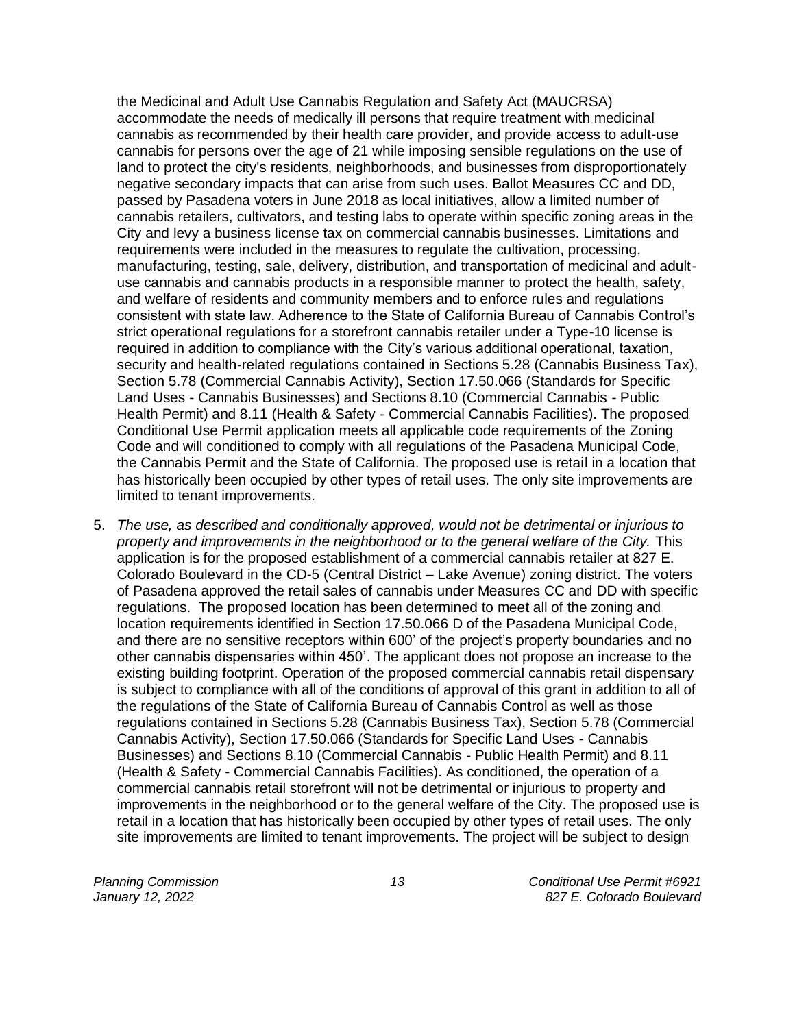the Medicinal and Adult Use Cannabis Regulation and Safety Act (MAUCRSA) accommodate the needs of medically ill persons that require treatment with medicinal cannabis as recommended by their health care provider, and provide access to adult-use cannabis for persons over the age of 21 while imposing sensible regulations on the use of land to protect the city's residents, neighborhoods, and businesses from disproportionately negative secondary impacts that can arise from such uses. Ballot Measures CC and DD, passed by Pasadena voters in June 2018 as local initiatives, allow a limited number of cannabis retailers, cultivators, and testing labs to operate within specific zoning areas in the City and levy a business license tax on commercial cannabis businesses. Limitations and requirements were included in the measures to regulate the cultivation, processing, manufacturing, testing, sale, delivery, distribution, and transportation of medicinal and adultuse cannabis and cannabis products in a responsible manner to protect the health, safety, and welfare of residents and community members and to enforce rules and regulations consistent with state law. Adherence to the State of California Bureau of Cannabis Control's strict operational regulations for a storefront cannabis retailer under a Type-10 license is required in addition to compliance with the City's various additional operational, taxation, security and health-related regulations contained in Sections 5.28 (Cannabis Business Tax), Section 5.78 (Commercial Cannabis Activity), Section 17.50.066 (Standards for Specific Land Uses - Cannabis Businesses) and Sections 8.10 (Commercial Cannabis - Public Health Permit) and 8.11 (Health & Safety - Commercial Cannabis Facilities). The proposed Conditional Use Permit application meets all applicable code requirements of the Zoning Code and will conditioned to comply with all regulations of the Pasadena Municipal Code, the Cannabis Permit and the State of California. The proposed use is retail in a location that has historically been occupied by other types of retail uses. The only site improvements are limited to tenant improvements.

5. *The use, as described and conditionally approved, would not be detrimental or injurious to property and improvements in the neighborhood or to the general welfare of the City.* This application is for the proposed establishment of a commercial cannabis retailer at 827 E. Colorado Boulevard in the CD-5 (Central District – Lake Avenue) zoning district. The voters of Pasadena approved the retail sales of cannabis under Measures CC and DD with specific regulations. The proposed location has been determined to meet all of the zoning and location requirements identified in Section 17.50.066 D of the Pasadena Municipal Code, and there are no sensitive receptors within 600' of the project's property boundaries and no other cannabis dispensaries within 450'. The applicant does not propose an increase to the existing building footprint. Operation of the proposed commercial cannabis retail dispensary is subject to compliance with all of the conditions of approval of this grant in addition to all of the regulations of the State of California Bureau of Cannabis Control as well as those regulations contained in Sections 5.28 (Cannabis Business Tax), Section 5.78 (Commercial Cannabis Activity), Section 17.50.066 (Standards for Specific Land Uses - Cannabis Businesses) and Sections 8.10 (Commercial Cannabis - Public Health Permit) and 8.11 (Health & Safety - Commercial Cannabis Facilities). As conditioned, the operation of a commercial cannabis retail storefront will not be detrimental or injurious to property and improvements in the neighborhood or to the general welfare of the City. The proposed use is retail in a location that has historically been occupied by other types of retail uses. The only site improvements are limited to tenant improvements. The project will be subject to design

*Planning Commission 13 Conditional Use Permit #6921 January 12, 2022 827 E. Colorado Boulevard*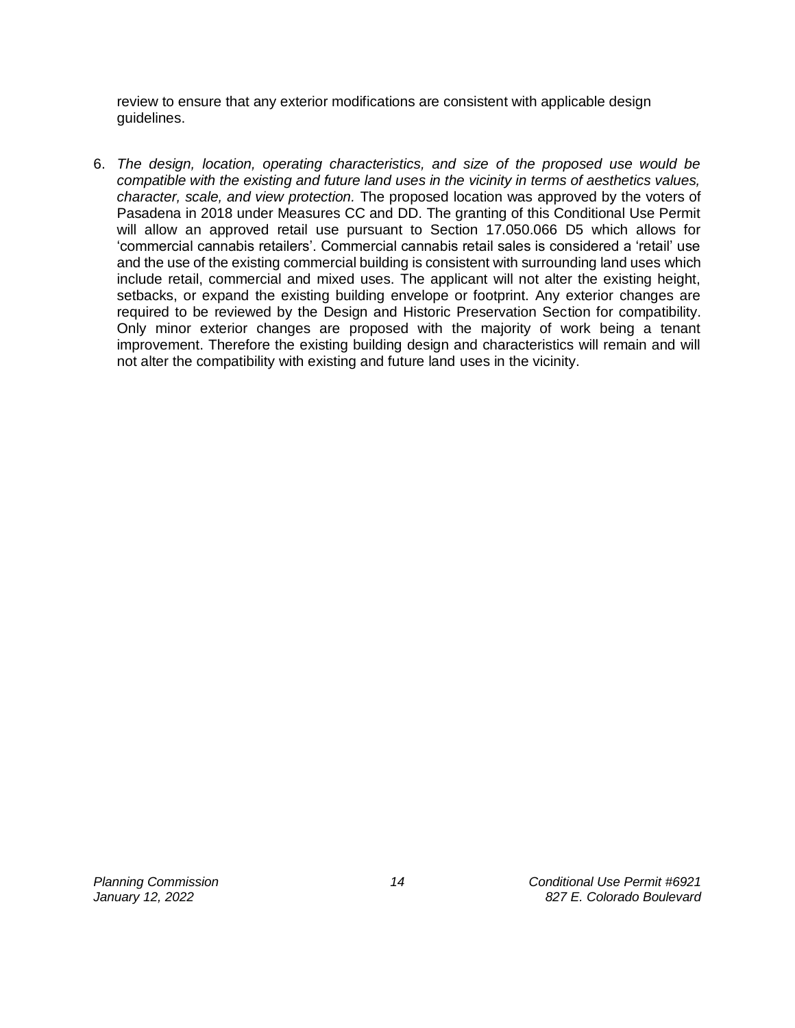review to ensure that any exterior modifications are consistent with applicable design guidelines.

6. *The design, location, operating characteristics, and size of the proposed use would be compatible with the existing and future land uses in the vicinity in terms of aesthetics values, character, scale, and view protection.* The proposed location was approved by the voters of Pasadena in 2018 under Measures CC and DD. The granting of this Conditional Use Permit will allow an approved retail use pursuant to Section 17.050.066 D5 which allows for 'commercial cannabis retailers'. Commercial cannabis retail sales is considered a 'retail' use and the use of the existing commercial building is consistent with surrounding land uses which include retail, commercial and mixed uses. The applicant will not alter the existing height, setbacks, or expand the existing building envelope or footprint. Any exterior changes are required to be reviewed by the Design and Historic Preservation Section for compatibility. Only minor exterior changes are proposed with the majority of work being a tenant improvement. Therefore the existing building design and characteristics will remain and will not alter the compatibility with existing and future land uses in the vicinity.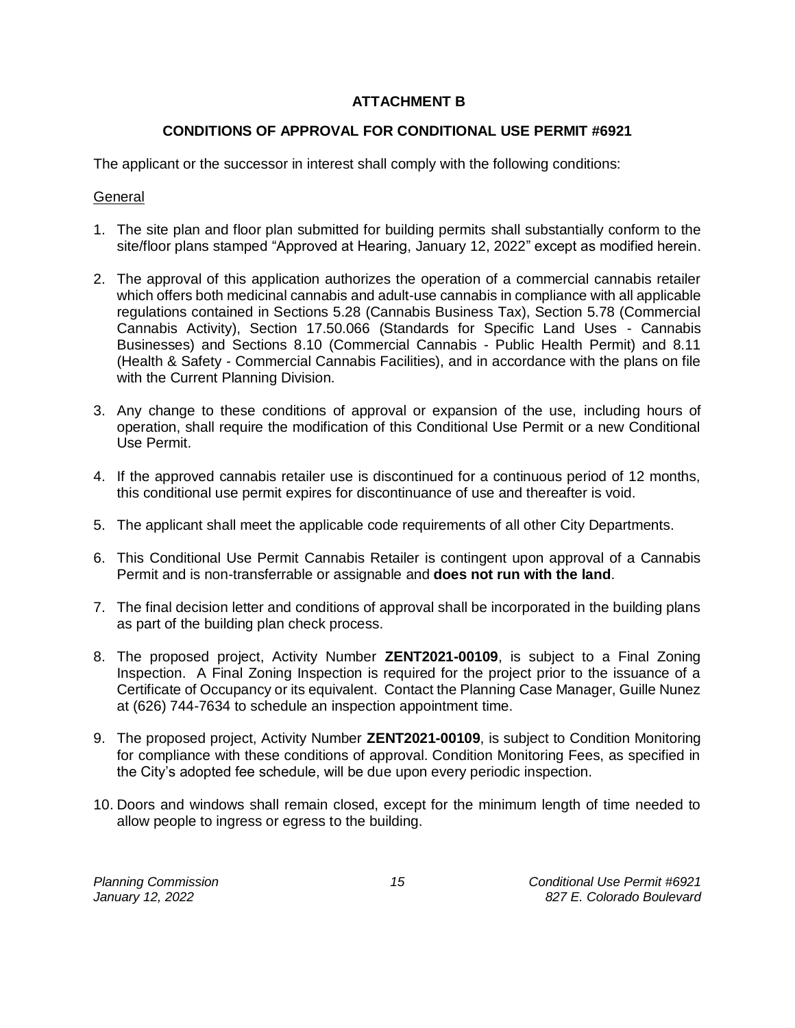# **ATTACHMENT B**

# **CONDITIONS OF APPROVAL FOR CONDITIONAL USE PERMIT #6921**

The applicant or the successor in interest shall comply with the following conditions:

# **General**

- 1. The site plan and floor plan submitted for building permits shall substantially conform to the site/floor plans stamped "Approved at Hearing, January 12, 2022" except as modified herein.
- 2. The approval of this application authorizes the operation of a commercial cannabis retailer which offers both medicinal cannabis and adult-use cannabis in compliance with all applicable regulations contained in Sections 5.28 (Cannabis Business Tax), Section 5.78 (Commercial Cannabis Activity), Section 17.50.066 (Standards for Specific Land Uses - Cannabis Businesses) and Sections 8.10 (Commercial Cannabis - Public Health Permit) and 8.11 (Health & Safety - Commercial Cannabis Facilities), and in accordance with the plans on file with the Current Planning Division.
- 3. Any change to these conditions of approval or expansion of the use, including hours of operation, shall require the modification of this Conditional Use Permit or a new Conditional Use Permit.
- 4. If the approved cannabis retailer use is discontinued for a continuous period of 12 months, this conditional use permit expires for discontinuance of use and thereafter is void.
- 5. The applicant shall meet the applicable code requirements of all other City Departments.
- 6. This Conditional Use Permit Cannabis Retailer is contingent upon approval of a Cannabis Permit and is non-transferrable or assignable and **does not run with the land**.
- 7. The final decision letter and conditions of approval shall be incorporated in the building plans as part of the building plan check process.
- 8. The proposed project, Activity Number **ZENT2021-00109**, is subject to a Final Zoning Inspection. A Final Zoning Inspection is required for the project prior to the issuance of a Certificate of Occupancy or its equivalent. Contact the Planning Case Manager, Guille Nunez at (626) 744-7634 to schedule an inspection appointment time.
- 9. The proposed project, Activity Number **ZENT2021-00109**, is subject to Condition Monitoring for compliance with these conditions of approval. Condition Monitoring Fees, as specified in the City's adopted fee schedule, will be due upon every periodic inspection.
- 10. Doors and windows shall remain closed, except for the minimum length of time needed to allow people to ingress or egress to the building.